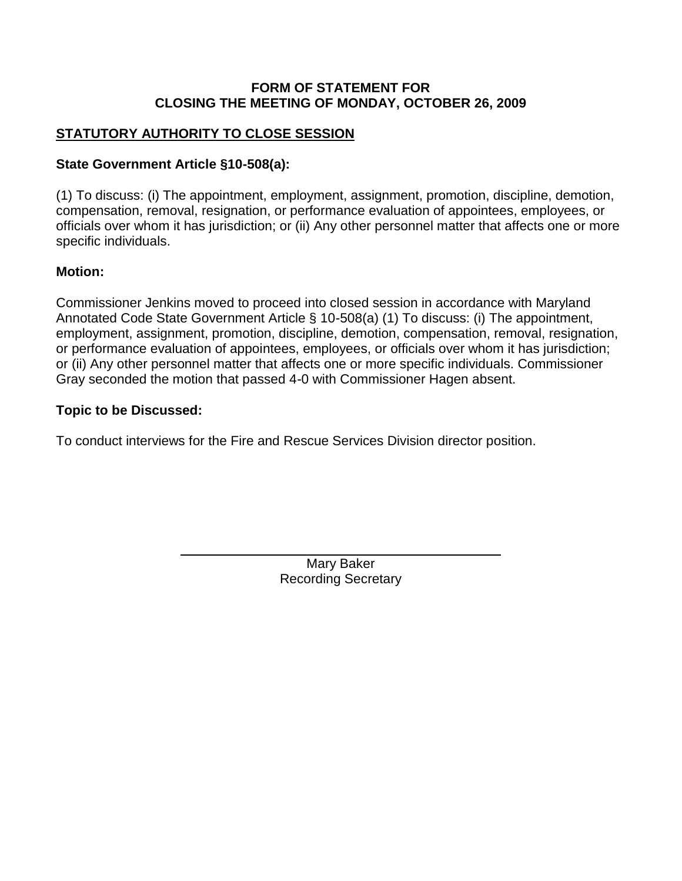#### **FORM OF STATEMENT FOR CLOSING THE MEETING OF MONDAY, OCTOBER 26, 2009**

# **STATUTORY AUTHORITY TO CLOSE SESSION**

### **State Government Article §10-508(a):**

(1) To discuss: (i) The appointment, employment, assignment, promotion, discipline, demotion, compensation, removal, resignation, or performance evaluation of appointees, employees, or officials over whom it has jurisdiction; or (ii) Any other personnel matter that affects one or more specific individuals.

### **Motion:**

Commissioner Jenkins moved to proceed into closed session in accordance with Maryland Annotated Code State Government Article § 10-508(a) (1) To discuss: (i) The appointment, employment, assignment, promotion, discipline, demotion, compensation, removal, resignation, or performance evaluation of appointees, employees, or officials over whom it has jurisdiction; or (ii) Any other personnel matter that affects one or more specific individuals. Commissioner Gray seconded the motion that passed 4-0 with Commissioner Hagen absent.

### **Topic to be Discussed:**

To conduct interviews for the Fire and Rescue Services Division director position.

Mary Baker Recording Secretary